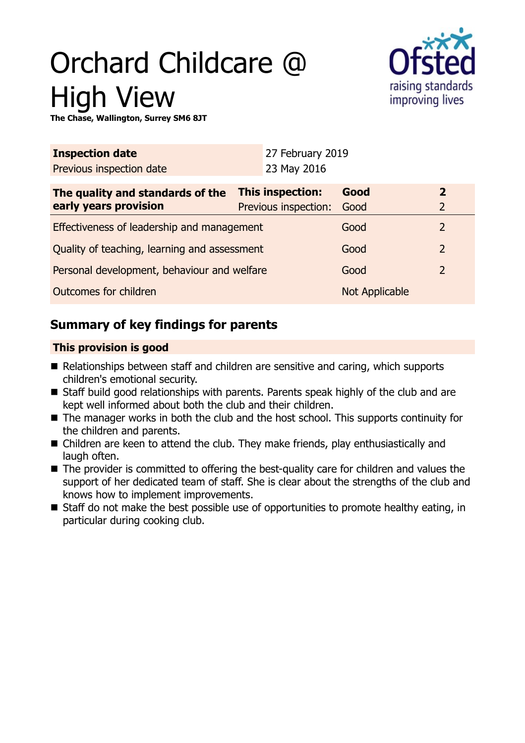# Orchard Childcare @ High View



**The Chase, Wallington, Surrey SM6 8JT**

| <b>Inspection date</b>                       |                         | 27 February 2019     |                |                |
|----------------------------------------------|-------------------------|----------------------|----------------|----------------|
| Previous inspection date                     |                         | 23 May 2016          |                |                |
| The quality and standards of the             | <b>This inspection:</b> |                      | Good           | $\overline{2}$ |
| early years provision                        |                         | Previous inspection: | Good           | $\overline{2}$ |
| Effectiveness of leadership and management   |                         |                      | Good           | $\overline{2}$ |
| Quality of teaching, learning and assessment |                         |                      | Good           | $\overline{2}$ |
| Personal development, behaviour and welfare  |                         |                      | Good           | $\overline{2}$ |
| Outcomes for children                        |                         |                      | Not Applicable |                |

# **Summary of key findings for parents**

## **This provision is good**

- Relationships between staff and children are sensitive and caring, which supports children's emotional security.
- Staff build good relationships with parents. Parents speak highly of the club and are kept well informed about both the club and their children.
- $\blacksquare$  The manager works in both the club and the host school. This supports continuity for the children and parents.
- Children are keen to attend the club. They make friends, play enthusiastically and laugh often.
- $\blacksquare$  The provider is committed to offering the best-quality care for children and values the support of her dedicated team of staff. She is clear about the strengths of the club and knows how to implement improvements.
- $\blacksquare$  Staff do not make the best possible use of opportunities to promote healthy eating, in particular during cooking club.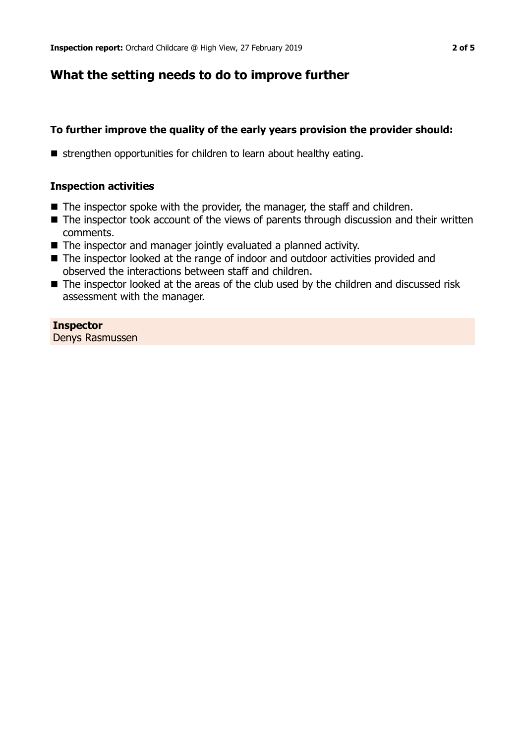# **What the setting needs to do to improve further**

## **To further improve the quality of the early years provision the provider should:**

■ strengthen opportunities for children to learn about healthy eating.

#### **Inspection activities**

- $\blacksquare$  The inspector spoke with the provider, the manager, the staff and children.
- $\blacksquare$  The inspector took account of the views of parents through discussion and their written comments.
- $\blacksquare$  The inspector and manager jointly evaluated a planned activity.
- The inspector looked at the range of indoor and outdoor activities provided and observed the interactions between staff and children.
- The inspector looked at the areas of the club used by the children and discussed risk assessment with the manager.

## **Inspector**

Denys Rasmussen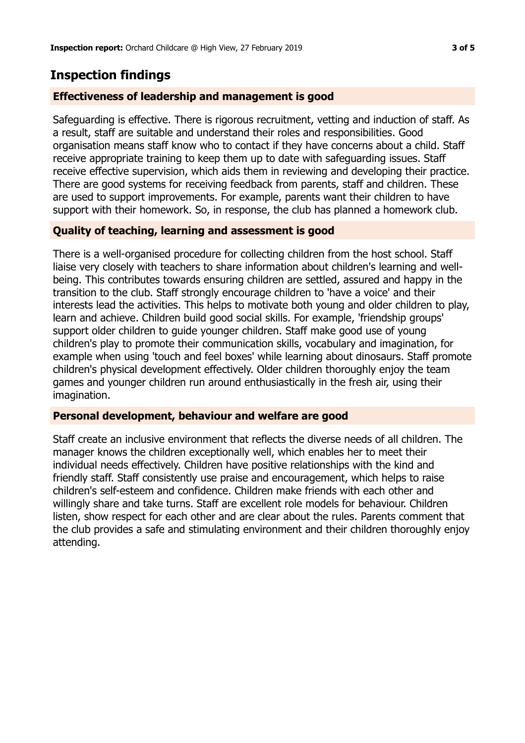# **Inspection findings**

#### **Effectiveness of leadership and management is good**

Safeguarding is effective. There is rigorous recruitment, vetting and induction of staff. As a result, staff are suitable and understand their roles and responsibilities. Good organisation means staff know who to contact if they have concerns about a child. Staff receive appropriate training to keep them up to date with safeguarding issues. Staff receive effective supervision, which aids them in reviewing and developing their practice. There are good systems for receiving feedback from parents, staff and children. These are used to support improvements. For example, parents want their children to have support with their homework. So, in response, the club has planned a homework club.

### **Quality of teaching, learning and assessment is good**

There is a well-organised procedure for collecting children from the host school. Staff liaise very closely with teachers to share information about children's learning and wellbeing. This contributes towards ensuring children are settled, assured and happy in the transition to the club. Staff strongly encourage children to 'have a voice' and their interests lead the activities. This helps to motivate both young and older children to play, learn and achieve. Children build good social skills. For example, 'friendship groups' support older children to guide younger children. Staff make good use of young children's play to promote their communication skills, vocabulary and imagination, for example when using 'touch and feel boxes' while learning about dinosaurs. Staff promote children's physical development effectively. Older children thoroughly enjoy the team games and younger children run around enthusiastically in the fresh air, using their imagination.

#### **Personal development, behaviour and welfare are good**

Staff create an inclusive environment that reflects the diverse needs of all children. The manager knows the children exceptionally well, which enables her to meet their individual needs effectively. Children have positive relationships with the kind and friendly staff. Staff consistently use praise and encouragement, which helps to raise children's self-esteem and confidence. Children make friends with each other and willingly share and take turns. Staff are excellent role models for behaviour. Children listen, show respect for each other and are clear about the rules. Parents comment that the club provides a safe and stimulating environment and their children thoroughly enjoy attending.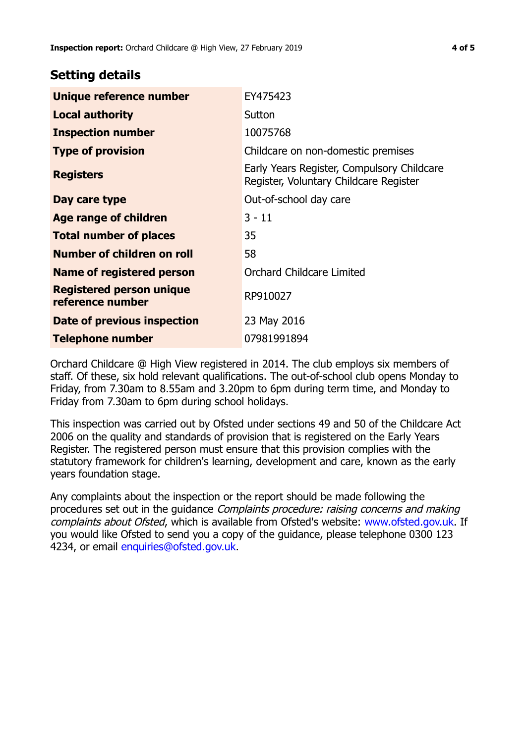## **Setting details**

| Unique reference number                             | EY475423                                                                             |  |
|-----------------------------------------------------|--------------------------------------------------------------------------------------|--|
| <b>Local authority</b>                              | Sutton                                                                               |  |
| <b>Inspection number</b>                            | 10075768                                                                             |  |
| <b>Type of provision</b>                            | Childcare on non-domestic premises                                                   |  |
| <b>Registers</b>                                    | Early Years Register, Compulsory Childcare<br>Register, Voluntary Childcare Register |  |
| Day care type                                       | Out-of-school day care                                                               |  |
| Age range of children                               | $3 - 11$                                                                             |  |
| <b>Total number of places</b>                       | 35                                                                                   |  |
| Number of children on roll                          | 58                                                                                   |  |
| Name of registered person                           | Orchard Childcare Limited                                                            |  |
| <b>Registered person unique</b><br>reference number | RP910027                                                                             |  |
| Date of previous inspection                         | 23 May 2016                                                                          |  |
| <b>Telephone number</b>                             | 07981991894                                                                          |  |

Orchard Childcare @ High View registered in 2014. The club employs six members of staff. Of these, six hold relevant qualifications. The out-of-school club opens Monday to Friday, from 7.30am to 8.55am and 3.20pm to 6pm during term time, and Monday to Friday from 7.30am to 6pm during school holidays.

This inspection was carried out by Ofsted under sections 49 and 50 of the Childcare Act 2006 on the quality and standards of provision that is registered on the Early Years Register. The registered person must ensure that this provision complies with the statutory framework for children's learning, development and care, known as the early years foundation stage.

Any complaints about the inspection or the report should be made following the procedures set out in the guidance Complaints procedure: raising concerns and making complaints about Ofsted, which is available from Ofsted's website: www.ofsted.gov.uk. If you would like Ofsted to send you a copy of the guidance, please telephone 0300 123 4234, or email [enquiries@ofsted.gov.uk.](mailto:enquiries@ofsted.gov.uk)